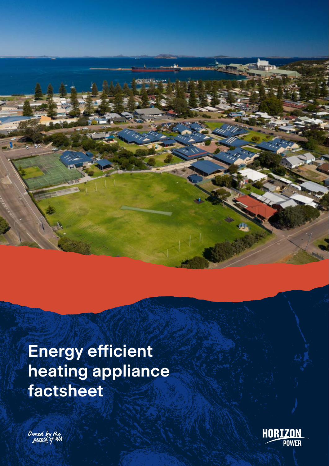



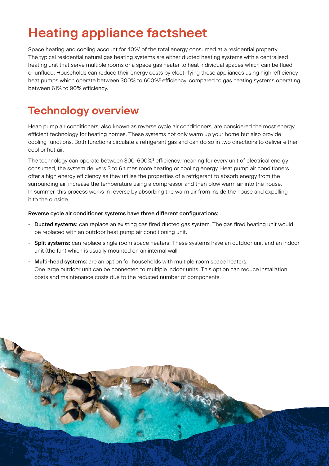# **Heating appliance factsheet**

Space heating and cooling account for 40%<sup>1</sup> of the total energy consumed at a residential property. The typical residential natural gas heating systems are either ducted heating systems with a centralised heating unit that serve multiple rooms or a space gas heater to heat individual spaces which can be flued or unflued. Households can reduce their energy costs by electrifying these appliances using high-efficiency heat pumps which operate between 300% to 600%<sup>2</sup> efficiency, compared to gas heating systems operating between 61% to 90% efficiency.

### **Technology overview**

Heap pump air conditioners, also known as reverse cycle air conditioners, are considered the most energy efficient technology for heating homes. These systems not only warm up your home but also provide cooling functions. Both functions circulate a refrigerant gas and can do so in two directions to deliver either cool or hot air.

The technology can operate between 300-600%<sup>3</sup> efficiency, meaning for every unit of electrical energy consumed, the system delivers 3 to 6 times more heating or cooling energy. Heat pump air conditioners offer a high energy efficiency as they utilise the properties of a refrigerant to absorb energy from the surrounding air, increase the temperature using a compressor and then blow warm air into the house. In summer, this process works in reverse by absorbing the warm air from inside the house and expelling it to the outside.

#### Reverse cycle air conditioner systems have three different configurations:

- Ducted systems: can replace an existing gas fired ducted gas system. The gas fired heating unit would be replaced with an outdoor heat pump air conditioning unit.
- Split systems: can replace single room space heaters. These systems have an outdoor unit and an indoor unit (the fan) which is usually mounted on an internal wall.
- Multi-head systems: are an option for households with multiple room space heaters. One large outdoor unit can be connected to multiple indoor units. This option can reduce installation costs and maintenance costs due to the reduced number of components.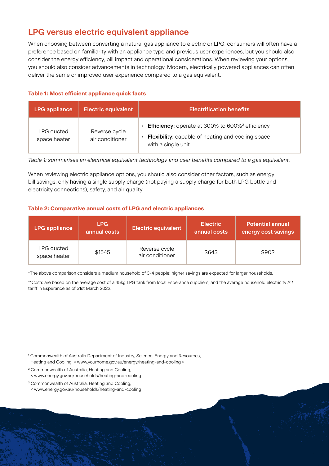### **LPG versus electric equivalent appliance**

When choosing between converting a natural gas appliance to electric or LPG, consumers will often have a preference based on familiarity with an appliance type and previous user experiences, but you should also consider the energy efficiency, bill impact and operational considerations. When reviewing your options, you should also consider advancements in technology. Modern, electrically powered appliances can often deliver the same or improved user experience compared to a gas equivalent.

#### **Table 1: Most efficient appliance quick facts**

| <b>LPG appliance</b>       | <b>Electric equivalent</b>       | <b>Electrification benefits</b>                                                                                                                                   |  |  |
|----------------------------|----------------------------------|-------------------------------------------------------------------------------------------------------------------------------------------------------------------|--|--|
| LPG ducted<br>space heater | Reverse cycle<br>air conditioner | <b>Efficiency:</b> operate at 300% to 600% <sup>2</sup> efficiency<br>$\bullet$<br><b>Flexibility:</b> capable of heating and cooling space<br>with a single unit |  |  |

*Table 1: summarises an electrical equivalent technology and user benefits compared to a gas equivalent.* 

When reviewing electric appliance options, you should also consider other factors, such as energy bill savings, only having a single supply charge (not paying a supply charge for both LPG bottle and electricity connections), safety, and air quality.

#### **Table 2: Comparative annual costs of LPG and electric appliances**

| <b>LPG appliance</b>       | LPG.<br>annual costs | <b>Electric equivalent</b>       | <b>Electric</b><br>annual costs | <b>Potential annual</b><br>energy cost savings |
|----------------------------|----------------------|----------------------------------|---------------------------------|------------------------------------------------|
| LPG ducted<br>space heater | \$1545               | Reverse cycle<br>air conditioner | \$643                           | \$902                                          |

\*The above comparison considers a medium household of 3-4 people; higher savings are expected for larger households.

\*\*Costs are based on the average cost of a 45kg LPG tank from local Esperance suppliers, and the average household electricity A2 tariff in Esperance as of 31st March 2022.

<sup>1</sup> Commonwealth of Australia Department of Industry, Science, Energy and Resources, Heating and Cooling, < www.yourhome.gov.au/energy/heating-and-cooling >

- <sup>2</sup> Commonwealth of Australia, Heating and Cooling, < www.energy.gov.au/households/heating-and-cooling
- <sup>3</sup> Commonwealth of Australia, Heating and Cooling,
- < www.energy.gov.au/households/heating-and-cooling